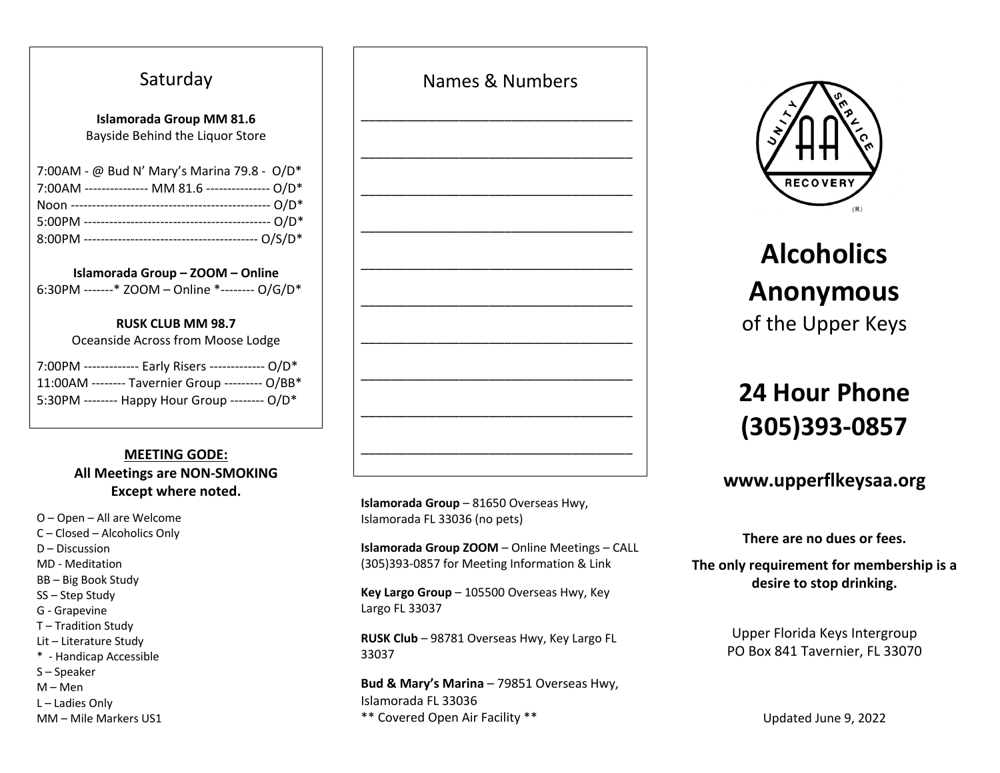## Saturday

#### **Islamorada Group MM 81.6** Bayside Behind the Liquor Store

| 7:00AM - @ Bud N' Mary's Marina 79.8 - O/D*       |
|---------------------------------------------------|
| 7:00AM -------------- MM 81.6 -------------- O/D* |
|                                                   |
|                                                   |
|                                                   |

**Islamorada Group – ZOOM – Online** 6:30PM -------\* ZOOM – Online \*-------- O/G/D\*

### **RUSK CLUB MM 98.7**

| Oceanside Across from Moose Lodge |  |
|-----------------------------------|--|
|                                   |  |

| 7:00PM ------------ Early Risers ------------- O/D* |  |
|-----------------------------------------------------|--|
| 11:00AM -------- Tavernier Group --------- O/BB*    |  |
| 5:30PM -------- Happy Hour Group -------- O/D*      |  |

## **MEETING GODE: All Meetings are NON-SMOKING Except where noted.**

- O Open All are Welcome
- C Closed Alcoholics Only
- D Discussion
- MD Meditation
- BB Big Book Study
- SS Step Study
- G Grapevine
- T Tradition Study
- Lit Literature Study
- \* Handicap Accessible
- S Speaker
- M Men
- L Ladies Only
- MM Mile Markers US1

| <b>INGITICS &amp; INGITING S</b> |  |
|----------------------------------|--|
|                                  |  |
|                                  |  |
|                                  |  |
|                                  |  |
|                                  |  |
|                                  |  |
|                                  |  |
|                                  |  |
|                                  |  |
|                                  |  |
|                                  |  |
|                                  |  |
|                                  |  |
|                                  |  |
|                                  |  |
|                                  |  |
|                                  |  |
|                                  |  |
|                                  |  |
|                                  |  |
|                                  |  |
|                                  |  |
|                                  |  |
|                                  |  |
|                                  |  |
|                                  |  |
|                                  |  |
|                                  |  |
|                                  |  |
|                                  |  |
|                                  |  |
|                                  |  |
|                                  |  |
|                                  |  |
|                                  |  |
|                                  |  |

Names & Numbers

**Islamorada Group** – 81650 Overseas Hwy, Islamorada FL 33036 (no pets)

**Islamorada Group ZOOM** – Online Meetings – CALL (305)393-0857 for Meeting Information & Link

**Key Largo Group** – 105500 Overseas Hwy, Key Largo FL 33037

**RUSK Club** – 98781 Overseas Hwy, Key Largo FL 33037

**Bud & Mary's Marina** – 79851 Overseas Hwy, Islamorada FL 33036 \*\* Covered Open Air Facility \*\*



# **Alcoholics Anonymous** of the Upper Keys

# **24 Hour Phone (305)393-0857**

## **www.upperflkeysaa.org**

**There are no dues or fees.**

**The only requirement for membership is a desire to stop drinking.**

> Upper Florida Keys Intergroup PO Box 841 Tavernier, FL 33070